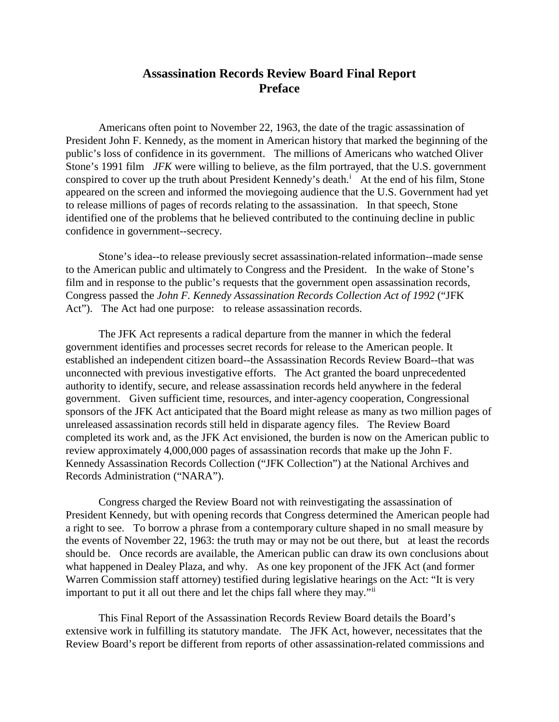## **Assassination Records Review Board Final Report Preface**

Americans often point to November 22, 1963, the date of the tragic assassination of President John F. Kennedy, as the moment in American history that marked the beginning of the public's loss of confidence in its government. The millions of Americans who watched Oliver Stone's 1991 film *JFK* were willing to believe, as the film portrayed, that the U.S. government consp[i](#page-3-0)red to cover up the truth about President Kennedy's death.<sup>i</sup> At the end of his film, Stone appeared on the screen and informed the moviegoing audience that the U.S. Government had yet to release millions of pages of records relating to the assassination. In that speech, Stone identified one of the problems that he believed contributed to the continuing decline in public confidence in government--secrecy.

Stone's idea--to release previously secret assassination-related information--made sense to the American public and ultimately to Congress and the President. In the wake of Stone's film and in response to the public's requests that the government open assassination records, Congress passed the *John F. Kennedy Assassination Records Collection Act of 1992* ("JFK Act"). The Act had one purpose: to release assassination records.

The JFK Act represents a radical departure from the manner in which the federal government identifies and processes secret records for release to the American people. It established an independent citizen board--the Assassination Records Review Board--that was unconnected with previous investigative efforts. The Act granted the board unprecedented authority to identify, secure, and release assassination records held anywhere in the federal government. Given sufficient time, resources, and inter-agency cooperation, Congressional sponsors of the JFK Act anticipated that the Board might release as many as two million pages of unreleased assassination records still held in disparate agency files. The Review Board completed its work and, as the JFK Act envisioned, the burden is now on the American public to review approximately 4,000,000 pages of assassination records that make up the John F. Kennedy Assassination Records Collection ("JFK Collection") at the National Archives and Records Administration ("NARA").

Congress charged the Review Board not with reinvestigating the assassination of President Kennedy, but with opening records that Congress determined the American people had a right to see. To borrow a phrase from a contemporary culture shaped in no small measure by the events of November 22, 1963: the truth may or may not be out there, but at least the records should be. Once records are available, the American public can draw its own conclusions about what happened in Dealey Plaza, and why. As one key proponent of the JFK Act (and former Warren Commission staff attorney) testified during legislative hearings on the Act: "It is very important to put it all out there and let the chips fall where they may."<sup>[ii](#page-3-1)</sup>

This Final Report of the Assassination Records Review Board details the Board's extensive work in fulfilling its statutory mandate. The JFK Act, however, necessitates that the Review Board's report be different from reports of other assassination-related commissions and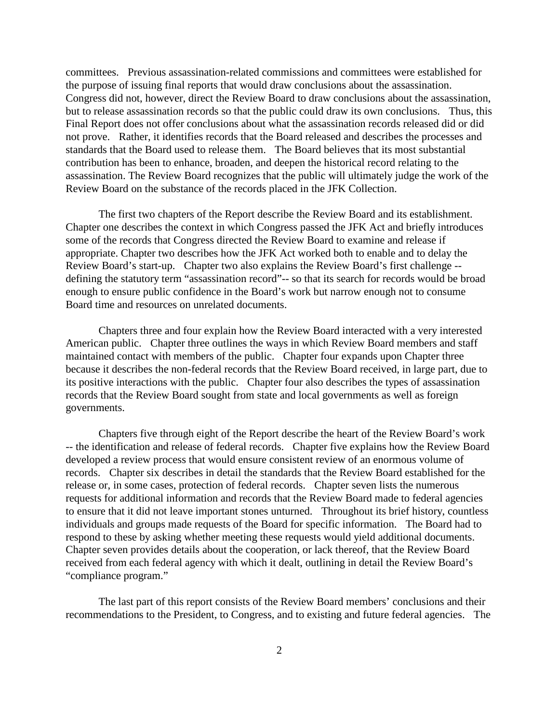committees. Previous assassination-related commissions and committees were established for the purpose of issuing final reports that would draw conclusions about the assassination. Congress did not, however, direct the Review Board to draw conclusions about the assassination, but to release assassination records so that the public could draw its own conclusions. Thus, this Final Report does not offer conclusions about what the assassination records released did or did not prove. Rather, it identifies records that the Board released and describes the processes and standards that the Board used to release them. The Board believes that its most substantial contribution has been to enhance, broaden, and deepen the historical record relating to the assassination. The Review Board recognizes that the public will ultimately judge the work of the Review Board on the substance of the records placed in the JFK Collection.

The first two chapters of the Report describe the Review Board and its establishment. Chapter one describes the context in which Congress passed the JFK Act and briefly introduces some of the records that Congress directed the Review Board to examine and release if appropriate. Chapter two describes how the JFK Act worked both to enable and to delay the Review Board's start-up. Chapter two also explains the Review Board's first challenge - defining the statutory term "assassination record"-- so that its search for records would be broad enough to ensure public confidence in the Board's work but narrow enough not to consume Board time and resources on unrelated documents.

Chapters three and four explain how the Review Board interacted with a very interested American public. Chapter three outlines the ways in which Review Board members and staff maintained contact with members of the public. Chapter four expands upon Chapter three because it describes the non-federal records that the Review Board received, in large part, due to its positive interactions with the public. Chapter four also describes the types of assassination records that the Review Board sought from state and local governments as well as foreign governments.

Chapters five through eight of the Report describe the heart of the Review Board's work -- the identification and release of federal records. Chapter five explains how the Review Board developed a review process that would ensure consistent review of an enormous volume of records. Chapter six describes in detail the standards that the Review Board established for the release or, in some cases, protection of federal records. Chapter seven lists the numerous requests for additional information and records that the Review Board made to federal agencies to ensure that it did not leave important stones unturned. Throughout its brief history, countless individuals and groups made requests of the Board for specific information. The Board had to respond to these by asking whether meeting these requests would yield additional documents. Chapter seven provides details about the cooperation, or lack thereof, that the Review Board received from each federal agency with which it dealt, outlining in detail the Review Board's "compliance program."

The last part of this report consists of the Review Board members' conclusions and their recommendations to the President, to Congress, and to existing and future federal agencies. The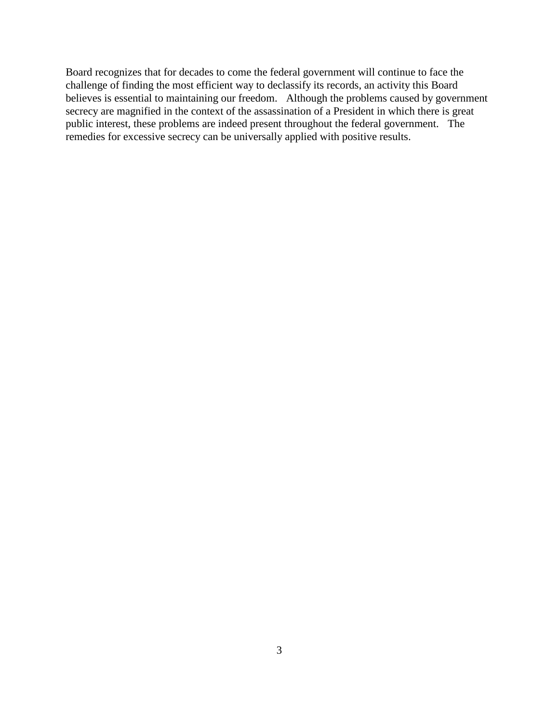Board recognizes that for decades to come the federal government will continue to face the challenge of finding the most efficient way to declassify its records, an activity this Board believes is essential to maintaining our freedom. Although the problems caused by government secrecy are magnified in the context of the assassination of a President in which there is great public interest, these problems are indeed present throughout the federal government. The remedies for excessive secrecy can be universally applied with positive results.